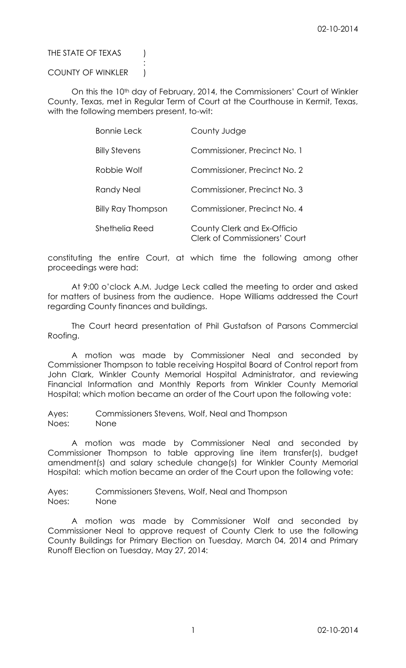## THE STATE OF TEXAS (

#### COUNTY OF WINKLER )

:

On this the 10<sup>th</sup> day of February, 2014, the Commissioners' Court of Winkler County, Texas, met in Regular Term of Court at the Courthouse in Kermit, Texas, with the following members present, to-wit:

| <b>Bonnie Leck</b>        | County Judge                                                        |
|---------------------------|---------------------------------------------------------------------|
| <b>Billy Stevens</b>      | Commissioner, Precinct No. 1                                        |
| Robbie Wolf               | Commissioner, Precinct No. 2                                        |
| Randy Neal                | Commissioner, Precinct No. 3                                        |
| <b>Billy Ray Thompson</b> | Commissioner, Precinct No. 4                                        |
| Shethelia Reed            | County Clerk and Ex-Officio<br><b>Clerk of Commissioners' Court</b> |

constituting the entire Court, at which time the following among other proceedings were had:

At 9:00 o'clock A.M. Judge Leck called the meeting to order and asked for matters of business from the audience. Hope Williams addressed the Court regarding County finances and buildings.

The Court heard presentation of Phil Gustafson of Parsons Commercial Roofing.

A motion was made by Commissioner Neal and seconded by Commissioner Thompson to table receiving Hospital Board of Control report from John Clark, Winkler County Memorial Hospital Administrator, and reviewing Financial Information and Monthly Reports from Winkler County Memorial Hospital; which motion became an order of the Court upon the following vote:

Ayes: Commissioners Stevens, Wolf, Neal and Thompson Noes: None

A motion was made by Commissioner Neal and seconded by Commissioner Thompson to table approving line item transfer(s), budget amendment(s) and salary schedule change(s) for Winkler County Memorial Hospital: which motion became an order of the Court upon the following vote:

Ayes: Commissioners Stevens, Wolf, Neal and Thompson Noes: None

A motion was made by Commissioner Wolf and seconded by Commissioner Neal to approve request of County Clerk to use the following County Buildings for Primary Election on Tuesday, March 04, 2014 and Primary Runoff Election on Tuesday, May 27, 2014: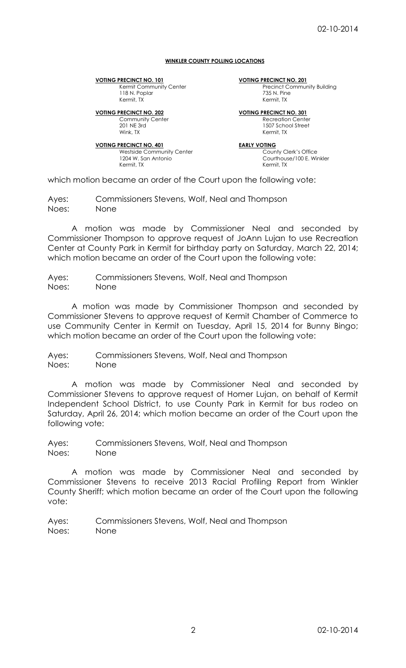#### **WINKLER COUNTY POLLING LOCATIONS**

118 N. Poplar 118 N. Poplar 118 N. Poplar 118 N. Pine 118 N. Pine 118 N. Pine 118 N. Pine 118 N. Pine 118 N. P<br>
118 N. Poplar 118 N. Poplar 118 N. Poplar 118 N. Poplar 118 N. Poplar 118 N. Poplar 118 N. Poplar 118 N. Popl Kermit, TX

**VOTING PRECINCT NO. 202 VOTING PRECINCT NO. 301**

Wink, TX Kermit, TX **VOTING PRECINCT NO. 401**<br>
Westside Community Center<br>
County Clerk's Office

Westside Community Center<br>1204 W. San Antonio 1204 W. San Antonio Courthouse/100 E. Winkler

**VOTING PRECINCT NO. 101 VOTING PRECINCT NO. 201**

Kermit Community Center Figure 2012 118 N. Precinct Community Building<br>
118 N. Poplar Precinct Community Building

Community Center **Recreation Center** Recreation Center 201 NE 3rd 1507 School Street

Kermit, TX

which motion became an order of the Court upon the following vote:

Ayes: Commissioners Stevens, Wolf, Neal and Thompson Noes: None

A motion was made by Commissioner Neal and seconded by Commissioner Thompson to approve request of JoAnn Lujan to use Recreation Center at County Park in Kermit for birthday party on Saturday, March 22, 2014; which motion became an order of the Court upon the following vote:

Ayes: Commissioners Stevens, Wolf, Neal and Thompson Noes: None

A motion was made by Commissioner Thompson and seconded by Commissioner Stevens to approve request of Kermit Chamber of Commerce to use Community Center in Kermit on Tuesday, April 15, 2014 for Bunny Bingo; which motion became an order of the Court upon the following vote:

Ayes: Commissioners Stevens, Wolf, Neal and Thompson Noes: None

A motion was made by Commissioner Neal and seconded by Commissioner Stevens to approve request of Homer Lujan, on behalf of Kermit Independent School District, to use County Park in Kermit for bus rodeo on Saturday, April 26, 2014; which motion became an order of the Court upon the following vote:

Ayes: Commissioners Stevens, Wolf, Neal and Thompson Noes: None

A motion was made by Commissioner Neal and seconded by Commissioner Stevens to receive 2013 Racial Profiling Report from Winkler County Sheriff; which motion became an order of the Court upon the following vote:

Ayes: Commissioners Stevens, Wolf, Neal and Thompson Noes: None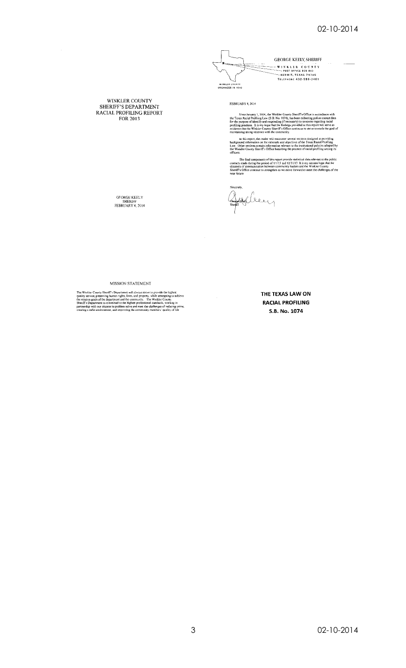J.

**GEORGE KEELY, SHERIFF** - WINKLER COUNTY<br>-----post office box 860<br>----KERMIT, TEXAS 79745<br>TELEPHONE 432-586-3461 WINKLER COUNTY<br>ORGANIZED IN 1910

#### FEBRUARY 4, 2014

Since January 1, 2004, the Winkler County Sheriff's Office in accordance with<br>the Texas Racial Profiling Law (S.B. No. 1074), has been collecting police contact data<br>for the purpose of identify and responding (if necessar

the<br>measurement of the redee will no conclusive reveral sections designed at providing<br>background information on the rationale and objectives of the Texas Rasial Profiling<br>Law. Other sections contain information relevant t

The final components of this report provide statistical data relevant to the public contacts made during the period of  $10/113$  and  $12/31/13$ . It is my sincere hope that the channels of communication between community le

Holley

WINKLER COUNTY SHERIFF'S DEPARTMENT<br>RACIAL PROFILING REPORT FOR 2013

 $\begin{array}{c} \text{GFORGE KEELY}\\ \text{SHERIFF}\\ \text{FEBRUARY 4, 2014} \end{array}$ 

#### MISSION STATEMENT

The Winkler County Sheriff's Department will always strive to provide the highest quality service, preserving human rights, lives, and property, while attempting to achieve the mission goals of the department and the commu

THE TEXAS LAW ON **RACIAL PROFILING** S.B. No. 1074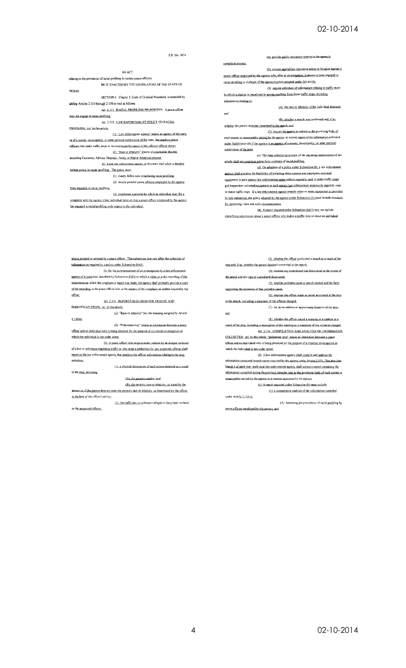#### SB No 1074

AN ACT

relating to the prevention of racial profiling by certain peace officers. BE IT ENACTED BY THE LEGISLATURE OF THE STATE OF

TEYAS: SECTION 1. Chapter 2, Code of Criminal Procedure, is amended by

adding Articles 2.131 through 2.138 to read as follows: Art. 2.131 RACIAL PROFILING PROHIBITED A peace officer

may not engage in racial profiling.

Art. 2.132 LAW ENFORCEMENT POLICY ON RACIAL PROFILING. (a) In this article.

[1] "Law enforcement agency" means an agency of the state, or of a county, municipality, or other political subdivision of the state, that employs peace officers who make traffic stops in the routine performance of the officers' official duties

(2) "Race or ethnicity" means of a particular descent, including Caucasian, African, Hispanis, Asian, or Native American descent.

(b) Each law enforcement agency in this state shall adopt a detailed written policy on racial profiling. The policy must:

(1) clearly define acts constituting racial profiling, (2) strictly probibit peace officers employed by the agency

from engaging in racial profiling. (3) implement a process by which an individual may file a complaint with the agency if the individual helieves that a peace officer employed by the agency

has engaged in racial profiling with respect to the individual,

(4) provide public education relating to the agency's

(5) require appropriate corrective action to be taken against a peace officer employed by the agency who, after an investigation, is shown to have engaged in racial profiling in violation of the agency's policy adopted under this article.

complaint process.

(6) require collection of information relating to traffic stops in which a citation is issued and to arrests resulting from those traffic stops, including

information relating to. (A) the race or ethnicity of the individual detained;

 $\overline{a}$ (B) whether a search was conducted and, if so,

whether the person detained consented to the search; and (7) require the agency to submit to the governing body of each county or municipality served by the agency an annual report of the information collected

under Subdivision (6) if the agency is an agency of a county, manicipality, or other political subdivision of the state.

(c) The data collected as a result of the reporting requirements of this article shall not constitute prima facic evidence of tacial profiling.

(d) On adoption of a policy under Subsection (b), a law enforcement agency shall examine the feasibility of installing video camera and transmitter-activated equipment in each agency law enforcement motor vehicle regularly used to make traffic stops and transmitter-activated equipment in each agency law enforcement motorcycle regularly used to make traffic stops. If a law enforcement agency installs video or audio equipment as provided by this subsection, the policy adopted by the agency under Subsection (b) must include standards for reviewing video and audio documentation.

(e) A report required under Subsection (b)(7) may not include identifying information about a peace officer who makes a traffic stop or about an individual

who is stopped or arrested by a peace officer This subs tion does not affect the collection of information as required by a policy under Subsection (bK6).

(f) On the commencement of an investigation by a law enforcement agency of a complaint described by Subsection (b)(3) in which a video or audio recording of the occurrence on which the complaint is based was made, the agency shall promptly provide a copy of the recording to the peace officer who is the subject of the complaint on written request by the officer

An. 2.133 REPORTS REQUIRED FOR TRAFFIC AND PEDESTRIAN STOPS. (a) In this article:

(1). "Race or ethnicity" has the meaning assigned by Article  $2.132(a)$ 

(2) "Pedestrian stop" means an interaction between a peace officer and an individual who is being detained for the purpose of a criminal investigation in

which the individual is not under arrest (b) A peace officer who stops a motor vehicle for an alleged violation of a law or ordinance regulating traffic or who stops a pedestrian for any suspected offense shall report to the law enforcement agency that employs the officer information relating to the stop, including.

(1) a physical description of each person detained as a result of the stop, including.

(A) the person's gender and

(B) the person's race or ethnicity, as stated by the person or, if the person does not state the person's race or ethnicity, as determined by the officer to the best of the officer's ability;

(2) the traffic law or ordinance alleged to have been violated

or the suspected offense;

(3) whether the officer conducted a search as a result of the stop and, if so, whether the person detained consented to the search

(4) whether any contraband was discovered in the course of the search and the type of contraband discovered;

(5) whether probable cause to search existed and the facts supporting the existence of that probable cause

(6) whether the officer made an arrest as a result of the stop or the search, including a statement of the offense charged;

 $\left( 7\right)$  the street address or approximate location of the stop; and

(8) whether the officer issued a warning or a citation as a result of the stop, including a description of the warning or a statement of the violation charged Art 2.134. COMPILATION AND ANALYSIS OF INFORMATION

COLLECTED. (a) In this article, "pedestrian stop" means an interaction between a peace officer and an individual who is being detained for the purpose of a criminal investigation in which the individual is not under arrest.

(b) A law enforcement agency shall compile and analyze the information contained in each report received by the agency under Article 2.133. Not later than March 1 of gach year, each local law enforcement agency shall submit a report containing the information compiled during the previous calendar year to the governing body of each county or municipality served by the agency in a manner approved by the agency.

(c) A report required under Subsection (b) must include (1) a comparative analysis of the information compiled

under Article 2.133 to:

 $(\Lambda)$  determin<u>e t</u>he prevalence of racial profiling by peace officers employed by the agency, and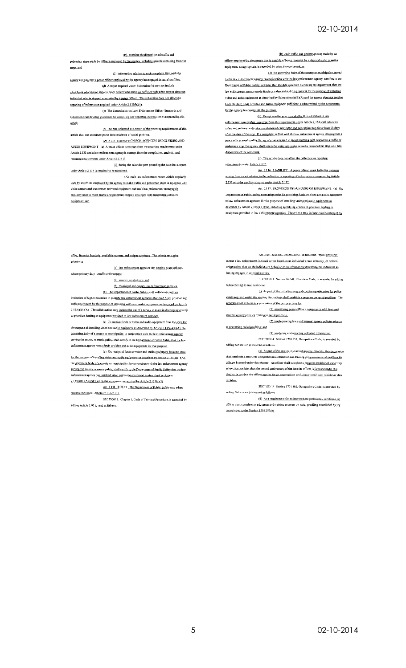#### (B) examine the disposition of traffic and

pedestrian stops made by officers employed by the agency, including searches resulting from the stops; and

(2) information relating to each complaint filed with the agency alleging that a peace officer employed by the agency has engaged in racial profiling. (d) A report required under Subsection (b) may not include

identifying information about a peace officer who makes a traffic or pedestrian stop or about an individual who is stopped or arrested by a peace officer. This subsection does not affect the reporting of information required under Article 2.133(b)(1).

(e) The Commission on Law Enforcement Officer Standards and Education shall develop guidelines for compiling and reporting information as required by this article

(f) The data collected as a result of the reporting requirements of this article shall not constitute prima facie evidence of racial profiling

Art. 2.135. EXEMPTION FOR AGENCIES USING VIDEO AND AUDIO EQUIPMENT (a). A peace officer is exempt from the reporting requirement unde Article 2.133 and a law enforcement agency is exempt from the compilation, analysis, and reporting requirements under Article 2.134 if

(1) during the calendar year preceding the date that a report under Article 2.134 is required to be submitted.

(A) each law enforcement motor vehicle regularly used by an officer employed by the agency to make traffic and pedestrian stops is equipped with video camera and transputter-activated equipment and each law enforcement motorcycle regularly used to make traffic and pedestrian stops is equipped with transmitter-activated equipment, and

(B) each traffic and pedestrian stop made by an

officer employed by the agency that is capable of being recorded by video and audio or audio equipment, as appropriate, is recorded by using the equipment; or (2) the governing body of the county or municipality served

by the law enforcement agency, in conjunction with the law enforcement agency, certifies to the Department of Public Safety, not later than the date specified by rule by the department, that the law enforcement agency needs funds or video and audio equipment for the purpose of installing video and audio equipment as described by Subsection (a)(1)(A) and the agency does not receive from the state funds or video and audio equipment sufficient, as determined by the department. for the agency to accomplish that purpose.

(b) Except as otherwise provided by this subsection, a law enforcement agency that is exempt from the requirements under Article 2, 134 shall retain the video and audio or audio documentation of each traffic and pedestrian stop for at least 90 days after the date of the stop. If a complaint is filed with the law enforcement agency alleging that a peace officer employed by the agency has engaged in racial profiling with respect to a traffic or pedestrian stop, the agency shall retain the video and gudin or audio record of the stop until final disposition of the complaint.

(c) This article does not affect the collection or repo requirements under Article 2.132.

Art. 2.136. LIABILITY. A peace officer is not liable for damages arising from an act relating to the collection or reporting of information as required by Article 2.133 or under a policy adopted under Article 2.132.

Art. 2.137. PROVISION OF FUNDING OR EQUIPMENT. (a) The Department of Public Safety shall adopt rules for providing funds or video and audio equipment to law enforcement agencies for the purpose of installing video and audio equipment as described by Article 2,135(a)(1)(A), including specifying criteria to prioritize funding or equipment provided to law enforcement agencies. The criteria may include consideration of tax

effort, financial hardship, available revenue, and budget surpluses. The criteria must give priority to

(1) law enforcement agencies that employ peace officers sose primary duty is traffic enforcement;

(2) smaller jurisdictions; and (3) municipal and county law enforcement agencies.

(b) The Department of Public Safety shall collaborate with an

institution of higher education to identify law enforcement agencies that need funds or video and audio equipment for the purpose of installing video and audio equipment as described by Article 2.135(a)(I)(A). The collaboration may include the use of a survey to assist in developing criteria to prioritize funding or equipment provided to law enforcement a (c) To receive funds or video and audio equipment from the state for

the purpose of installing video and audio equipment as described by Article 2.135(a)(1)(A), the governing body of a county or municipality, in conjunction with the law enforcement agency serving the county or municipality, shall certify to the Department of Public Safety that the law enforcement agency needs funds or video and audio equipment for that purpose.

 $(d)$ . On receipt of funds or video and audio equipment from the state for the purpose of installing video and audio equipment as described by Article 2 135(a)(1)(A), the governing body of a county or municipality, in conjunction with the law enforcement agency. serving the county or municipality, shall certify to the Department of Public Safety that the law enforcement agency has installed video and audio equipment as described by Article

2.135(a)(1)(A) and is using the equipment as required by Article 2.135(a)(1) Art. 2.138 RI/LES The Department of Public Safety may adopt rules to implement Articles 2.131-2.137.

SECTION 2. Chapter 3, Code of Criminal Procedure, is antended by adding Article 3.05 to read as follows:

Art 3.05. RACIAL PROFILING. In this code, "racial profiling" means a law enforcement-initiated action based on an individual's race, ethnicity, or rations origin rather than on the individual's behavior or on information identifying the individual as having engaged in criminal activity.

SECTION 3 Section 96.641, Education Code, is amended by adding .<br>Subsection (j) to read as follows

(j). As part of the initial training and continuing education for police chiefs required under this section, the institute shall establish a program on racial profiling The program must include an examination of the best practices for.

(1) monitoring peace officers' compliance with laws and internal agency policies relating to racial profiling,

(2) implementing laws and internal agency policies relating to preventing racial profiling; and

(3) analyzing and reporting collected information SECTION 4. Section 1701.253, Occupations Code, is amended by

adding Subsection (e) to read as follows: (e) As part of the minimum curriculum requirements, the commission shall establish a statewide comprehensive education and training program on racial profiling for

officers licensed under this chapter. An officer shall complete a program established under this subsection not later than the second anniversary of the date the officer is licensed under this chapter or the date the officer applies for an intermediate proficiency cortificate, whichever date is earlier.

SECTION 5 Section 1701 402, Occupations Code, is amended by adding Subsection (d) to read as follows

(d). As a requirement for an intermediate proficiency certificate, an officer must complete an education and training program on racial profiling established by the commission under Section 1701.253(e).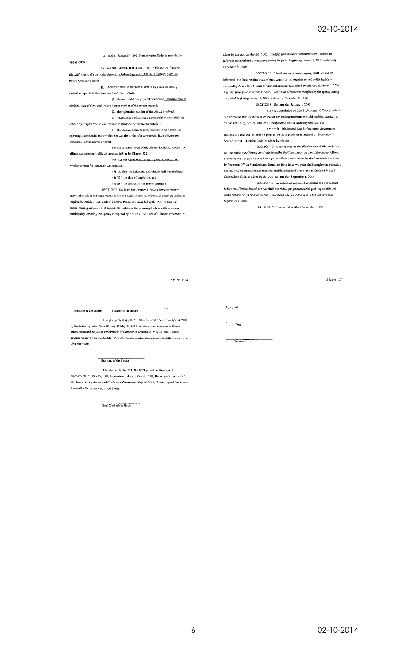SECTION 6. Section 543.202, Transportation Code, is amended to read as follows: Sec 543 202. FORM OF RECORD. (a) In this section, "race or ethnicity" means of a particular descent, including Caucasian, African, Hispanic, Asian, or Native American descent. (b) The record must be made on a form or by a data processing method acceptable to the department and must include:

(1) the name, address, physical description, including race or ethnicity, date of birth, and driver's license number of the person charged;

(2) the registration number of the vehicle involved; (3) whether the vehicle was a commercial motor vehicle as defined by Chapter 522 or was involved in transporting hazardous materials;

(4) the person's social security number, if the person was operating a commercial motor vehicle or was the holder of a commercial driver's license or commercial driver learner's permit;

(5) the date and nature of the offense, including whether the offense was a serious traffic violation as defined by Chapter 522:

(6) whether a search of the vehicle was conducted and whether consent for the search was obtained:

 $(7)$  the plea, the judgment, and whether bail was forfeited, (8) [(7)] the date of conviction: and

 $(9)$   $(8)$  the amount of the fine or forfeiture

SECTION 7. Not later than January 1, 2002, a law enforcement agency shall adopt and implement a policy and begin collecting information under the policy as

required by Article 2 132, Code of Criminal Procedure, as added by this Act. A local law enforcement agency shall first submit information to the governing body of each county or municipality served by the agency as required by Article 2.132, Code of Criminal Procedure, as added by this Act, on March 1, 2003. The first submission of information shall consist of information compiled by the agency during the period beginning January 1, 2002, and ending December 31 2002.

SECTION 8 A local law enforcement agency shall first submit information to the governing body of each county or municipality served by the agency as required by Article 2.134, Code of Criminal Procedure, as added by this Act, on March 1, 2004 The first submission of information shall consist of information compiled by the agency during the period beginning January 1, 2003, and ending December 31, 2003

SECTION 9 Not later than January 1, 2002.

(1) the Commission on Law Enforcement Officer Standards and Education shall establish an education and training program on racial profiling as required

by Subsection (e), Section 1701.253, Occupations Code, as added by this Act; and (2) the Bill Blackwood Law Enforcement Management Institute of Texas shall establish a program on racial profiling as required by Subsection (j),

Section 96 641, Education Code, as added by this Act SECTION 10. A person who on the effective date of this Act holds

an intermediate proficiency certificate issued by the Commission on Law Enforcement Officer Standards and Education or has held a peace officer license issued by the Commission on Law Enforcement Officer Standards and Education for at least two years shall complete an education and training program on racial profiling established under Subsection (e), Section 1701.253. Occupations Code, as added by this Act, not later than September 1, 2003.

SECTION 11. An individual appointed or elected as a police chief before the effective date of this Act shall complete a program on racial profiling established under Subsection (j), Section 96.641, Education Code, as added by this Act, not later than September 1, 2003.

SECTION 12. This Act takes effect September 1, 2001

S.B. No. 1074

S.B. No. 1074

**Approved** 

 $\sim$   $\sim$  $Date$ 

Governor

**President of the Senate** Speaker of the House

I hereby certify that S.B. No. 1074 passed the Senate on April 4, 2001, by the following vote: Yeas 28, Nays 2; May 21, 2001, Senate refused to concur in House amendments and requested appointment of Conference Committee, May 22, 2001, House granted request of the Senate, May 24, 2001, Senate adopted Conference Committee Report by a viva-voce vote

Secretary of the Senate

I hereby certify that S.B. No. 1074 passed the House, with amendments. on May 15, 2001, by a non-record vote, May 22, 2001, House granted request of the Senate for appointment of Conference Committee; May 24, 2001, House adopted Conference Committee Report by a non-record vote.

Chief Clerk of the House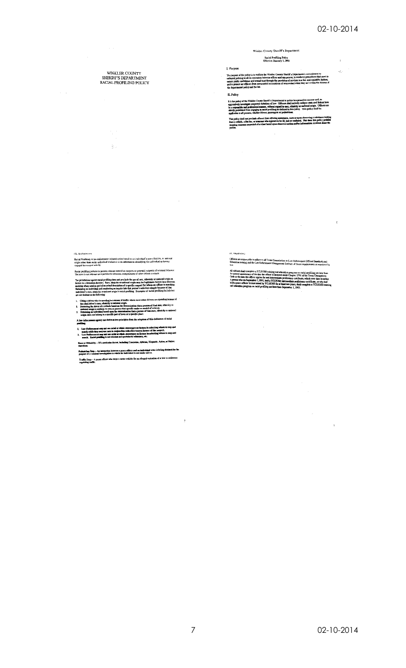$\bar{\chi}$ 

 $\mathbf{R}$ 

# WINKLER COUNTY<br>SHERIFF'S DEPARTMENT<br>RACIAL PROFILING POLICY

 $\gamma_{\rm{p}}$  :  $\mathcal{H}_\mathrm{L}$ 

Winkler Connty Sheriff's Department

#### Racial Profilling Policy<br>Effective January 1, 2002

I. Purpose affirm the Wiskeler Conney Sheriff's Department's commitment to<br>alors between officer and any person; to reinforce procedures that serve to<br>such treat disrugations condition of services in a fair can equipliste fashion;<br>su The purpose of the<br>apbigsed policing unbiased policing in all its encounts<br>ensure public confidence and mutua<br>and to protect tur officers from ure<br>the departmental policy and the law

### II. Policy

**IV. TRAINING** 

Steriff's Department to police in a proactive mooner and, to<br>tations of law. Officers thall scively enforce ande and fixteral law<br>me, without regard to tack, chasicity or salticaal origin. Officers are<br>seed partings as def It is the policy of<br>aggressively ture<br>in a responsible to<br>molicable to all ;<br>molicable to all ; y of the Winkler County S<br>hierastigate inspected visit<br>hierad professional mann<br>hall necross, whether drive<br>hall necross, whether drive

ons from affering assistance, such as span observing a nárstance leaking<br>nue who sppears to be ill, last or confined. Nor down this policy prohibit<br>nime hared upon chemreed action sudder information received about the hall not preclair offs<br>ic, a flat her, or some

 $\bar{z}$ 

 $\mathcal{L}^{\text{max}}$  and

 $\mathcal{A}^{\mathcal{A}}$ 

 $\ddot{\phantom{0}}$ 

 $\sim 1$ 

Racial Profiliose A law enforcement initiated action based on an individual's race chiractor, or eatimation<br>origin rabor bank on the edicordal stockness or on anformation stensifying the undividual as bovery<br>capaged in cre

Racial profiling pertains to person.<br>The term is not relevant as it perta who are viewed as suspects or potential suspect.<br>sets with site complainants or other citizen c

The probabines symmetric and profiling does not proclude the gay of east, ethnicity or entropy factors in a determined decision. Russ, offeringly contained events in the legitimates from the factors in the complete symmetr s searching<br>a of that<br>include bet

- Citing a driver who is spen<br>the cited delver's race, other<br>Optaining the driver of a vertex<br>polonial engine is midledy<br>Delatining an individual behind where, chancely or assigned origin.<br>Given a develope the state of the charmination that a present of that rate, stheiring or<br>diverse in a vehicle based on the charmination that a present of while<br>advisionly meet upon the s  $\mathbf{r}$  $\mathbf{J}_i$
- nt agency can derive at two principles from the udoption Alaw cafe
- at any met mes social or chimic sterretypes as factors in selecting whom<br>y mety use rate in conjunction with other known factors of the suspect.<br>antany out sue ratial or chimic sterretypes us factors in selecting whom<br>publ  $L$   $L = 6$ 고 Leads<br>2. Leads<br>mental
- .<br>Miky Of a particular decent, including Caucasium, African, Hi Roce or Kit<br>American Pudesterbon Storp – Ani interacciona between a prave officer and an individual who is being<br>parpose of a criminal investigation in which the individual is not under gerest.

er who stops a moter withing for an elleged violation of a lew or ordinance Traffic Stop – A prace office<br>regulating traffic

Officers are responsible to adhere to all Texas Commission on Law Enforcement Officer Sundards and<br>Edwardon training and the Law Enforcement Management Institute of Texas requirements as mandated by<br>haw

 $\bar{z}$ 

All olding<br>An second<br>Code or if<br>A person<br>held a person<br>trid orber plete a TCLEOSE training and relat<br>v of the date the officer is licensed a FCLEOSE training and relatation program on racial profiling ant later the different is interested under Campin; (70) at 60 for travel Company in the set of property and the set of the set of the set of the set of the se Septe<br>= 11.

02-10-2014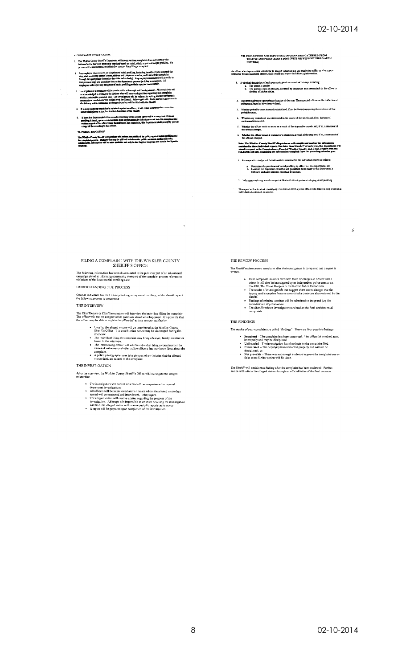#### V. COMPLAINT INVESTIGATION

- 1. The Winkler County Statiff's Department will accept written complaints from any person who<br>believes heliab has been stopped or statistical based on racial, ethnic or aational oxigin profiling. No<br>nervon will be discover
- Any employer who received an allegtion of racial profiling, including the efficier who initiated the complete step of the same deference and checked allegt and the complete step of the state of the state of the state of th n<br>Adolen
- Level public of a complete while be contacted in a three pays requires the magnitude will be completed with the informer bulk complete the state of the complete wide of the complete complete the state of the complete comp 4. E a cacial profiting completint is natisized against an efficer, it will result in approp<br>and/or disriplinery action that is at the discretion of the Sheriff.
- If there is a departmental video or sudio recording of the create upon which a completed of racial<br>profiling is based, upon constructions of an investigation by this department ions the completed and<br>written rapped of the  $\overline{\mathbf{S}}$ PERSON NO EDUCATION

iry Shexill's Departmient, will indicate the public: of its publicy against racial profiling and<br>con. Michosis that may be stiftimel to indicate the public: not move models and stelle,<br>remison with be under revolution and

VIL COLLECTION AND REPORTING INFORMATION GATHERED FROM<br>TRAFFIC AND PEDESTRIAN STOPS (WITH OR WITHOUT VIDEO/AUDIO<br>CAMERA)

An officer who stops a motor vehicle for an alloged violation of a law regulating traffic, or who stops a poderation of the stops a

- 1. A physical description of each person detained as a result of the stop, inclusing:<br>
2. The person's gentier.<br>
2. The person or assumed by the person or as determined by the officer to<br>
the best of hierber ability.
- 2. The street address or approximate location of the stop. The suspected offense or the traffic law or ordinance alleged to have been violated.
- 3. Whether probable cause in search existed and, if so, the fact(s) supporting the existence of that probable cause.
- $\epsilon$  . Whether any contraband was discovered in the course of the scarch and, if so, the type of contrabout discovered.
- 5. Whether the officer mode ao attest an a result of the stop audior search, and, if so, a statement of<br>the offense changed. 6. Whether the officer issued a warning or a citation as a result of the stop and, if so, a statement of<br>the offense charged.
- Note: The Winkler County Sheriff's Bepartment will comple and marker the information<br>contained in these individual reports. Not later than March I<sup>n</sup> of each year, this department contained in these individual reports. Not
- rative analysis of the information contained in the individual reports in order to  $\frac{1}{2}$ a. Determine the prevalence of racial profiting by efficers in this department, and<br>h. Examine the involvion of traffic and pedestrian stops made by this department is<br>CODear's including searches resulting from stops.
- 
- 2. Information relating to each complaint filed with this department alleging racial profiling.
- This report will not include identifying information about a peace of<br> $\hat{\mathbb{D}}$  cer who makes a stop or about an individual who stopped or arrested.

 $\ddot{s}$ 

## $\textrm{FLING A COMPLANT WITH THE WINKLER COUNTY} \begin{minipage}{14cm} \begin{tabular}{l} \bf \color{blue}{\bf \color{blue}{\bf \color{blue}{\bf \color{blue}{\bf \color{blue}{\bf \color{blue}{\bf \color{blue}{\bf \color{blue}{\bf \color{blue}{\bf \color{blue}{\bf \color{blue}{\bf \color{blue}{\bf \color{blue}{\bf \color{blue}{\bf \color{blue}{\bf \color{blue}{\bf \color{blue}{\bf \color{blue}{\bf \color{blue}{\bf \color{blue}{\bf \color{blue}{\bf \color{blue}{\bf \color{blue}{\bf \color{blue}{\bf \color{blue}{\bf \color{blue}{\$

The following information has been disseminated to the public as part of an educational campaign aimed at informing community members of the complaint process relevant to violations of the Texas Racial Profiling Law.

UNDERSTANDING THE PROCESS

Once an individual has filed a complaint regarding racial profiling, he/she should expect the following process to commence:  $\,$ 

#### THE INTERVIEW

The Chief Deputy or Chief Investigator will interview the individual filing the complaint<br>The officer will ask the alleged victim questions about what happened It is possible that<br>the officer may be able to explain the off

- 
- 
- 
- **Consider the Control of the Control of the Control of the Control of the Control Sheriff's Office.** It is possible that he'she may be videotaped during the interview The individual filing the complaint may bring a lawyer,
- complaint.<br>• A police photographer may take pictures of any injuries that the alleged<br>victim think are related to the complaint.

#### THE INVESTIGATION

After the interview, the Winkler County Sheriff's Office will investigate the alleged misconduct

- 
- The investigators will consist of senior officers experienced in internal<br>
department investigations<br>
All officers with the interviewed and witnesses whom the alleged victim has<br>
All officers will be incertained interviewe
- 
- 
- 

THE REVIEW PROCESS

The Sheriff reviews every complaint after the investigation is completed and a report is

- If the complaint includes excessive force or charges an officer with a<br>crine, it will also be investigated by an independent police agency 1.e.:<br>The FBI, The Texas Rangers or the Kemit Police Department<br>The Tes The Texas
- 
- 
- 

#### THE FINDINGS

- The results of your complaint are called "findings" There are four possible findings
	-
	-
	-
	- Sustained The complaint has been supported. The officer(s) involved acted<br>improperly and may be disciplined<br>of the officer(s) involved acted<br>of properly and may be disciplined<br>of the complaint filed.<br>Final mass from t

The Sheriff will decide on a finding after the complaint has been reviewed. Further, he/she will mform the alleged victim through an official letter of the final decision.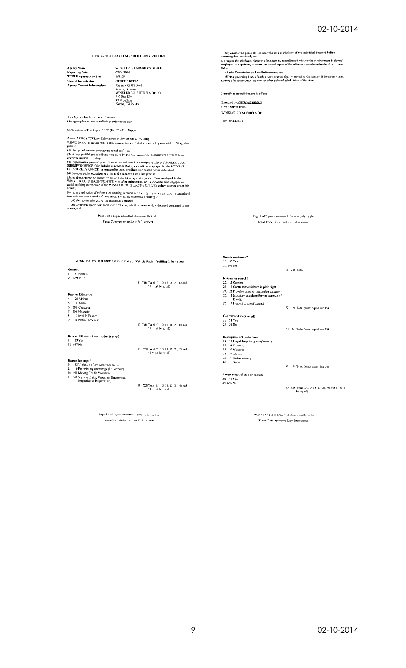#### TIER 2 - FULL RACIAL PROFILING REPORT

Agency Name:<br>Reporting Date:<br>TCOLE Agency Number:<br>Chief Administrator:<br>Agency Contact Information:

WINKLER CO SHERIFF'S OFFICE 02/04/2014<br>495100<br>GEORGE KEELY GEORGE KEELY<br>Phone: 432-586-3461<br>Mailing Address:<br>WINKLER CO. SHERIFF'S OFFICE<br>P.O. Box 860<br>1300 Bellaire<br>Kermit, TX 79745

This Agency filed a full report because:<br>Our agency has no motor vehicle or audio equipment.

Certification to This Report 2 132 (Tier 2) - Full Report

Article 2.132(b) CCP Law Enforcement Policy on Racial Profiling<br>WINKLER CO SHERIFF'S OFFICE has adopted a detailed written policy on racial profiling Our<br>-- "---

**EXECUTE CONSERVATES OF THE SOFTIME IN A SUPPOSE OF THE SOFTIME CONSERVATE CONSERVATES OF THE SOFTIME SOFTIME CONSERVATE CONSERVATE (2) strictly probably positive confirmed (1) clearly defines acts constituting racial pro** article,<br>
article,<br>  $\alpha$  is the control of information relating to excitent 2 of a recast pointy stopped under this<br>
to arrests made as a result of those stops, moluting information relating to<br>  $(A)$  the race or ethnicity

Page 1 of 5 pages submitted electronically to the Texas Commission on Law Enforcement

(C) whether the peace officer knew the race or ethnicity of the individual detained before<br>detaining that individual; and<br>(7) require the chief administrator of the agency, regardless of whether the administrator is elect (6) to:<br>  $(A)$  the Commission on Law Enforcement; and<br>
(R) the governing body of each county or municipality served by the agency, if the agency is an<br>
agency of a county, municipality, or other political subdivision of th I certify these policies are in effect. Executed by: *GEORGE KEELY*<br>Chief Administrator WINKLER CO SHERIFF'S OFFICE Date: 02/04/2014 Page 2 of 5 pages submitted electronically to the Texas Commission on Law Enforcement Search conduc<br>19. 60 Yes<br>20.660 No cted?  $21-720$  Total Reason for search?<br>
22. 23 Consent<br>
23. 7 Contraband/evidence in plain sight<br>
23. 21 Probable cause or reasonable suspicion<br>
25. 2 Inventory search performed as result of<br>
towing<br>
26. 7 Incident to arrest/warrant 27 60 Total (nust equal line 19)

Contraband discovered?<br>28. 24 Yes<br>29. 36 No

30. 60 Total (must equal line 19)

**Description of Contraband**<br>
31 **t0 illegal drugs/drug paraphernalia**<br>
32 **0 Currency**<br>
34 **5 Weapons**<br>
34 **7 Adcohol**<br>
35 **1 Stolen property**<br>
36 **1 Other** 

37. 24 Total (must equal line 28)

# Arrest result of stop or search:<br>38. 44 Yes<br>39 676 No

40 720 Total (3, 10, 13, 18, 21, 40 and 51 must<br>be equal:

Page 4 of 5 pages submitted electronically to the Texas Commission on Law Enforcement

WINKLER CO. SHERIFF'S OFFICE Motor Vehicle Racial Profiling Information

Gender:<br>1. 161 Female<br>2. 559 Male

- 
- Race or Ethnicity:<br>
4. 26 African<br>
5. 1 Asian<br>
6. 356 Caucasian<br>
7. 336 Hispanic<br>
8. 1 Middle Eastern<br>
9. 0 Native American

10. 726 Total (3, 10, 13, 18, 21, 40 and<br>51 must be equal)

13 720 Total  $(3, 10, 13, 18, 21, 40$  and<br>51 must be equal)

3 720 Total  $(3, 10, 13, 18, 21, 40$  and<br>51 must be equal)

Race or Ethnicity known prior to stop?<br>11 23 Yes<br>12. 697 No

- 
- Reason for stop?<br>
14. 62 Violation of law other than traffic<br>
15. 6 Pre-existing knowledge (i.e. warrant)<br>
16. 491 Moving Traffic Violation<br>
17. 161 Vehicle Traffic Violation (Equipment, Inspection or Registration)
- 18 720 Total  $(\bar{3}, 10, 13, 18, 21, 40$  and  $$\rm{51}$  must be equal)

Page  $\bar 3$  of  $\bar 5$  pages submitted electronically to the Texas Commission on Law Enforcement

02-10-2014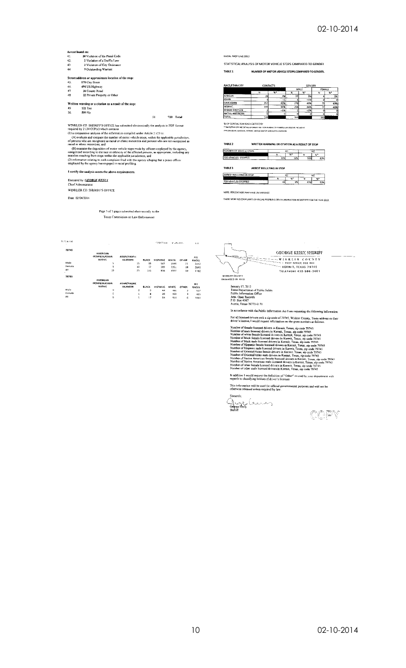$\overline{\phantom{a}}$ 

Arrest based on:<br>
41. 38 Violation of the Penal Code<br>
42. 2 Violation of a Traffic Law<br>
43 3 Violation of City Ordinance<br>
44 9 Outstanding Warrant

|    | Street address or approximate location of the stop: |
|----|-----------------------------------------------------|
| 45 | 178 City Street                                     |
|    | .                                                   |

494 US Highway<br>26 County Road<br>22 Private Property or Other  $\frac{46}{47}$ <br>48

 $50.$ 

#### warning or a citation as a result of the stop: **Written** 49 121 Yes

599 No

#### 720 Total

 $51$ 

WINKLER CO SHERIFFS OFFICE has submitted electronically the analysis in PDF format<br>required by 2.134 CCP(c) which contains<br>(1) a comparative analysis of the information compiled under Article 2.133 to:<br>(A) evaluate and co

I certify the analysis meets the above requirements.

#### Executed by:  $\overline{GEOREE}$  *KEELY* Chief Ada

WINKLER CO. SHERIFF'S OFFICE

Date: 02/04/2014

Page 5 of 5 pages submitted electronically to the  $% \left\vert \psi _{i}\right\rangle$ Texas Commission on Law Enforcement





STATISTICAL ANALYSIS OF MOTOR VEHICLE STOPS CAMPARED TO GENDER

TARIF 1 NUMBER OF MOTOR VEHICLE STOPS COMPARED TO GENDER.

| <b>RACE/ETHNICITY</b>  | CONTACTS |         | <b>GENDER</b>                    |                |        |     |  |  |  |
|------------------------|----------|---------|----------------------------------|----------------|--------|-----|--|--|--|
|                        |          |         | MALE                             |                | FEMALE |     |  |  |  |
|                        | N        | %*      | N                                | $\mathbb{S}^*$ | N      | ж.  |  |  |  |
| AFRICAN                | 26       | 3%      | 22                               | 3%             |        | 2%  |  |  |  |
| <b>ASIAN</b>           |          | ¢.      |                                  | <1%            |        |     |  |  |  |
| CAUCASIAN              | 357      | 49%     | 278                              | 49%            | 79     | 49% |  |  |  |
| <b>HISANIC</b>         | 335      | 46%     | 258                              | 46%            | 77     | 48% |  |  |  |
| MIDDLE EASTERN         |          | $< 1\%$ | <b><i><u>Programment</u></i></b> | 51%            | o      | c   |  |  |  |
| <b>NATIVE AMERICAN</b> |          |         |                                  |                |        |     |  |  |  |
| <b>TOTAL</b>           | 720      |         | 560                              |                | 160    |     |  |  |  |

% OF CONTACTS IN EACH CATFGORY<br>\*\* BAGATHN CITY ARE OFFIND BY SENATE BILLIDEAS REING OF A PARTICULAR DESCRIP, INCLUDING<br>AFRICAN, AGAIR, CAUCSINN, HOPARIC, MODUL EAST EN ARD NATIVE AMERICAL

TABLE 2 WRITTEN WARNING OR CITATION AS A RESULT OF STOP **NUMBER OF VEH** 720 VEHK **TABLE 3** ARREST RESULTING IN STOP **ARREST RE TING IN STOP**  $\begin{array}{|c|c|}\n\hline\n\textbf{X}^* & \textbf{6}^*\textbf{6}\n\end{array}$  $rac{c}{s^*}$  $\begin{array}{c|c}\n\hline\nN & & \\
\hline\n676\n\end{array}$  $\overline{\phantom{0}}$ 720 VEHICLES STOPPED  $\frac{1}{44}$ 

NOTE: PERCENTAGES MAY HAVE 1% VARIANCE

THERE WERE NO COMPLAINTS OF RACIAL PROFILING OR OISERMINATION REGISTERED FOR THE YEAR 2013.

**GEORGE KEELY, SHERIFF**  $\begin{array}{cccccccc}\n\hline\n\text{SVD} & \text{SVD} & \text{SVD} & \text{SVD} & \text{SVD} & \text{SVD} & \text{SVD} & \text{SVD} & \text{SVD} & \text{SVD} & \text{SVD} & \text{SVD} & \text{SVD} & \text{SVD} & \text{SVD} & \text{SVD} & \text{SVD} & \text{SVD} & \text{SVD} & \text{SVD} & \text{SVD} & \text{SVD} & \text{SVD} & \text{SVD} & \text{SVD} & \text{SVD} & \text{SVD} & \text{SVD} & \text{SVD} & \text{S$ .<br>Régeu WINKLER COUNTY<br>ORGANIZED IN 1910

January 17, 2013<br>Texas Department of Public Safety<br>Public Information Office<br>Attn. Oper Records<br>P.O. Box 4087<br>Austin, Texas 78773-0170

In accordance with the Public Information Act I am requesting the following inform For all licensed drivers with a zip code of 79745, Winkler County, Texas address on their driver's license, I would request information on the gross numbers as follows:

driver's license, I would roquest information on the gross numbers as follows:<br>
Number of featale licensed drivers in Kermit, Texas, zip code 79745<br>
Number of oral elicensed drivers in Kermit, Texas, zip code 79745<br>
Numbe

In addition I would request the definition of "Other" as used by your department with<br>regards to classifying holders of driver's licenses

This information will be used for official governmental purposes and will not be<br>otherwise released unless required by law.

Junt (recent)

COPY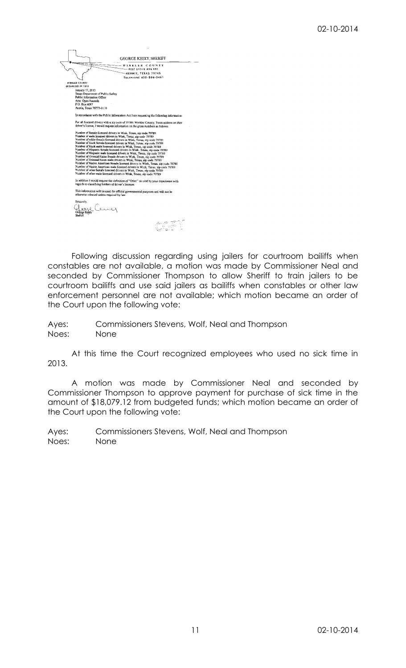| <b>GEORGE KEELY, SHERIFF</b>                                                                                                                                                                                                                                                                                                                                                                                                                                                                                                                                                                                                                                                                                                                                                                                                                                                                                                                                                                     |
|--------------------------------------------------------------------------------------------------------------------------------------------------------------------------------------------------------------------------------------------------------------------------------------------------------------------------------------------------------------------------------------------------------------------------------------------------------------------------------------------------------------------------------------------------------------------------------------------------------------------------------------------------------------------------------------------------------------------------------------------------------------------------------------------------------------------------------------------------------------------------------------------------------------------------------------------------------------------------------------------------|
| COUNTY<br><b>INKLER</b>                                                                                                                                                                                                                                                                                                                                                                                                                                                                                                                                                                                                                                                                                                                                                                                                                                                                                                                                                                          |
| <b>OST OFFICE BOX 860</b>                                                                                                                                                                                                                                                                                                                                                                                                                                                                                                                                                                                                                                                                                                                                                                                                                                                                                                                                                                        |
| KERMIT. TEXAS 79745                                                                                                                                                                                                                                                                                                                                                                                                                                                                                                                                                                                                                                                                                                                                                                                                                                                                                                                                                                              |
| TELEPHONE 432-586-3461                                                                                                                                                                                                                                                                                                                                                                                                                                                                                                                                                                                                                                                                                                                                                                                                                                                                                                                                                                           |
|                                                                                                                                                                                                                                                                                                                                                                                                                                                                                                                                                                                                                                                                                                                                                                                                                                                                                                                                                                                                  |
| WINKLER COUNTY<br>ORGANIZED IN 1910                                                                                                                                                                                                                                                                                                                                                                                                                                                                                                                                                                                                                                                                                                                                                                                                                                                                                                                                                              |
|                                                                                                                                                                                                                                                                                                                                                                                                                                                                                                                                                                                                                                                                                                                                                                                                                                                                                                                                                                                                  |
| January 17, 2013<br>Texas Department of Public Safety                                                                                                                                                                                                                                                                                                                                                                                                                                                                                                                                                                                                                                                                                                                                                                                                                                                                                                                                            |
| Public Information Office                                                                                                                                                                                                                                                                                                                                                                                                                                                                                                                                                                                                                                                                                                                                                                                                                                                                                                                                                                        |
| Attn: Open Records                                                                                                                                                                                                                                                                                                                                                                                                                                                                                                                                                                                                                                                                                                                                                                                                                                                                                                                                                                               |
| P.O. Box 4087                                                                                                                                                                                                                                                                                                                                                                                                                                                                                                                                                                                                                                                                                                                                                                                                                                                                                                                                                                                    |
| Austin, Texas 78773-0170                                                                                                                                                                                                                                                                                                                                                                                                                                                                                                                                                                                                                                                                                                                                                                                                                                                                                                                                                                         |
|                                                                                                                                                                                                                                                                                                                                                                                                                                                                                                                                                                                                                                                                                                                                                                                                                                                                                                                                                                                                  |
| In accordance with the Public Information Act I am requesting the following information:                                                                                                                                                                                                                                                                                                                                                                                                                                                                                                                                                                                                                                                                                                                                                                                                                                                                                                         |
| For all licensed drivers with a zip code of 79789, Winkler County, Texas address on their                                                                                                                                                                                                                                                                                                                                                                                                                                                                                                                                                                                                                                                                                                                                                                                                                                                                                                        |
| driver's license. I would request information on the gross numbers as follows:                                                                                                                                                                                                                                                                                                                                                                                                                                                                                                                                                                                                                                                                                                                                                                                                                                                                                                                   |
| Number of female licensed drivers in Wink, Texas, zip code 79789<br>Number of male licensed drivers in Wink, Texas, zip code 79789<br>Number of white female licensed drivers in Wink, Texas, zip code 79789<br>Number of black female licensed drivers in Wink, Texas, zip code 79789<br>Number of black male licensed drivers in Wink, Texas, zip code 79789<br>Number of Hispanic female licensed drivers in Wink, Texas, zip code 79789<br>Number of Hispanic male licensed drivers in Wink, Texas, zip code 79789<br>Number of Oriental/Asian female drivers in Wink, Texas, zip code 79789<br>Number of Oriental/Asian male drivers in Wink, Texas, zip code 79789<br>Number of Native American female licensed drivers in Wink, Texas, zip code 79789<br>Number of Native American male licensed drivers in Wink, Texas, zip code 79789<br>Number of other female licensed drivers in Wink, Texas, zip code 79789<br>Number of other male licensed drivers in Wink, Texas, zip code 79789 |
| In addition I would request the definition of "Other" as used by your department with<br>regards to classifying holders of driver's licenses.                                                                                                                                                                                                                                                                                                                                                                                                                                                                                                                                                                                                                                                                                                                                                                                                                                                    |
| This information will be used for official governmental purposes and will not be<br>otherwise released unless required by law.                                                                                                                                                                                                                                                                                                                                                                                                                                                                                                                                                                                                                                                                                                                                                                                                                                                                   |
| Sincerely.<br>بمتدو<br>Shehff                                                                                                                                                                                                                                                                                                                                                                                                                                                                                                                                                                                                                                                                                                                                                                                                                                                                                                                                                                    |
|                                                                                                                                                                                                                                                                                                                                                                                                                                                                                                                                                                                                                                                                                                                                                                                                                                                                                                                                                                                                  |

Following discussion regarding using jailers for courtroom bailiffs when constables are not available, a motion was made by Commissioner Neal and seconded by Commissioner Thompson to allow Sheriff to train jailers to be courtroom bailiffs and use said jailers as bailiffs when constables or other law enforcement personnel are not available; which motion became an order of the Court upon the following vote:

Ayes: Commissioners Stevens, Wolf, Neal and Thompson Noes: None

At this time the Court recognized employees who used no sick time in 2013.

A motion was made by Commissioner Neal and seconded by Commissioner Thompson to approve payment for purchase of sick time in the amount of \$18,079.12 from budgeted funds; which motion became an order of the Court upon the following vote:

Ayes: Commissioners Stevens, Wolf, Neal and Thompson Noes: None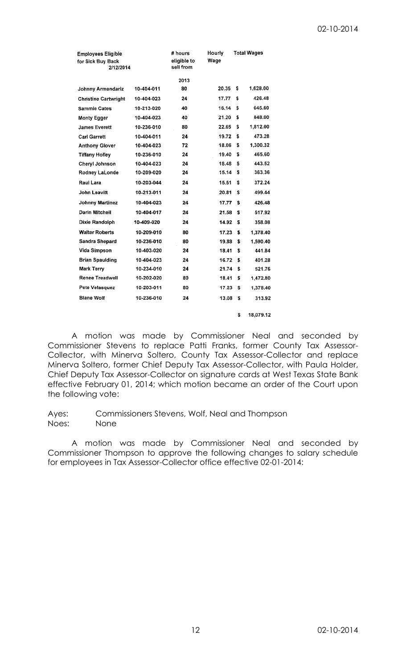| Employees Eligible<br>for Sick Buy Back<br>2/12/2014 |            | # hours<br>eligible to<br>sell from | Hourly<br>Wage |    | <b>Total Wages</b> |
|------------------------------------------------------|------------|-------------------------------------|----------------|----|--------------------|
|                                                      |            | 2013                                |                |    |                    |
| Johnny Armendariz                                    | 10-404-011 | 80                                  | 20.35          | \$ | 1,628.00           |
| <b>Christine Cartwright</b>                          | 10-404-023 | 24                                  | 17.77          | S  | 426.48             |
| <b>Sammie Cates</b>                                  | 10-213-020 | 40                                  | 16.14          | \$ | 645.60             |
| <b>Monty Egger</b>                                   | 10-404-023 | 40                                  | 21.20          | \$ | 848.00             |
| <b>James Everett</b>                                 | 10-236-010 | 80                                  | 22.65          | \$ | 1.812.00           |
| <b>Carl Garrett</b>                                  | 10-404-011 | 24                                  | 19.72          | \$ | 473.28             |
| <b>Anthony Glover</b>                                | 10-404-023 | 72                                  | 18.06          | \$ | 1.300.32           |
| <b>Tiffany Holley</b>                                | 10-236-010 | 24                                  | 19.40          | \$ | 465.60             |
| Cheryl Johnson                                       | 10-404-023 | 24                                  | 18.48          | \$ | 443.52             |
| Rodney LaLonde                                       | 10-209-020 | 24                                  | 15.14          | \$ | 363.36             |
| Raul Lara                                            | 10-203-044 | 24                                  | 15.51          | S  | 372.24             |
| <b>John Leavitt</b>                                  | 10-213-011 | 24                                  | 20.81          | \$ | 499.44             |
| <b>Johnny Martinez</b>                               | 10-404-023 | 24                                  | 17.77          | \$ | 426.48             |
| Darin Mitchell                                       | 10-404-017 | 24                                  | 21.58          | \$ | 517.92             |
| Dixie Randolph                                       | 10-409-020 | 24                                  | 14.92          | \$ | 358.08             |
| <b>Walter Roberts</b>                                | 10-209-010 | 80                                  | 17.23          | \$ | 1.378.40           |
| Sandra Shepard                                       | 10-236-010 | 80                                  | 19.88          | \$ | 1.590.40           |
| Vida Simpson                                         | 10-403-020 | 24                                  | 18.41          | \$ | 441.84             |
| <b>Brian Spaulding</b>                               | 10-404-023 | 24                                  | 16.72          | S  | 401.28             |
| Mark Terry                                           | 10-234-010 | 24                                  | 21.74          | \$ | 521.76             |
| <b>Renee Treadwell</b>                               | 10-202-020 | 80                                  | 18.41          | S  | 1,472.80           |
| Pete Velasquez                                       | 10-203-011 | 80                                  | 17.23          | \$ | 1,378.40           |
| <b>Blane Wolf</b>                                    | 10-236-010 | 24                                  | 13.08          | \$ | 313.92             |
|                                                      |            |                                     |                | \$ | 18,079.12          |

A motion was made by Commissioner Neal and seconded by Commissioner Stevens to replace Patti Franks, former County Tax Assessor-Collector, with Minerva Soltero, County Tax Assessor-Collector and replace Minerva Soltero, former Chief Deputy Tax Assessor-Collector, with Paula Holder, Chief Deputy Tax Assessor-Collector on signature cards at West Texas State Bank effective February 01, 2014; which motion became an order of the Court upon the following vote:

Ayes: Commissioners Stevens, Wolf, Neal and Thompson Noes: None

A motion was made by Commissioner Neal and seconded by Commissioner Thompson to approve the following changes to salary schedule for employees in Tax Assessor-Collector office effective 02-01-2014: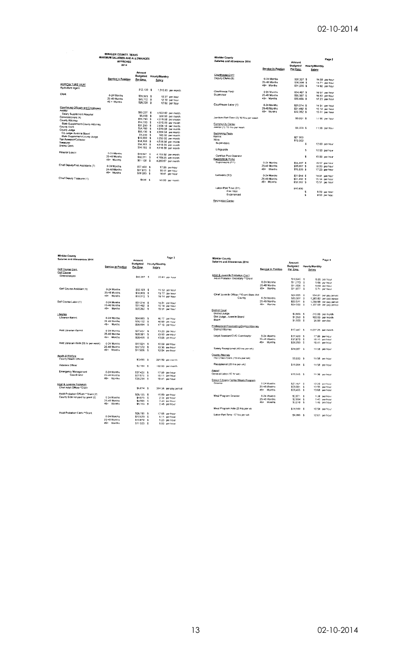# WINKLER COUNTY, TEXAS<br>MAXIMUM SALARIES AND ALLOWANCES<br>APPROVED APPROVED

|                                               | Service In Position | Amount<br>Budgeted<br>Per Emp. |    | <b>Hourly/Monthly</b><br>Salary |                    |
|-----------------------------------------------|---------------------|--------------------------------|----|---------------------------------|--------------------|
| <b>AGRICULTURE DEPT</b>                       |                     |                                |    |                                 |                    |
| Agriculture Agent                             |                     | $$12,130$ S                    |    |                                 | 1.010.83 per month |
| Clerk                                         | 0-24 Months         |                                |    |                                 |                    |
|                                               | 25-48 Months        | \$25,523                       | 5  |                                 | 12.27 per hour     |
|                                               | $49 +$ Months       | 525.772                        | \$ |                                 | 12.39 per hour     |
|                                               |                     | \$26,209 \$                    |    |                                 | 12 60 per hour     |
| Courthouse Officials and Employees<br>Auditor |                     |                                |    |                                 |                    |
|                                               |                     | \$59.207                       | \$ |                                 | 4.933.92 per month |
| Salary Supplement-Hospital                    |                     | \$6.000                        | \$ |                                 | 500 00 per month   |
| Commissioners (4)                             |                     | \$54.193                       | s  |                                 | 4.516.08 per month |
| County Attorney                               |                     | \$54.193                       | 1  |                                 | 4.516.08 per month |
| State Supplement-County Attorney              |                     | \$31,250                       | \$ |                                 | 2.604 16 per month |
| County Clerk                                  |                     | \$54,193                       | s  |                                 | 4.516.08 per month |
| County Judge                                  |                     | \$55,135                       | s  |                                 | 4.594.58 per month |
| Co Judge-Juvenile Board                       |                     | \$1,200                        | Ŧ. |                                 | 100.00 per month   |
| State Supplement-County Judge                 |                     | \$15,000                       | \$ |                                 | 1 250 00 per month |
| Tax Assessor/Collector                        |                     | \$54,193                       | s  |                                 | 4.516.06 per month |
| Treasurer                                     |                     | \$54.193                       | s  |                                 | 4.516.08 per month |
| <b>District Clierk</b>                        |                     | \$54.193 \$                    |    |                                 | 4.516.08 per month |
| Hospital Liason                               | 0-24 Months         | \$49,847                       | 2  |                                 | 4.153 92 per month |
|                                               | 25-48 Months        | \$50.271                       | s  |                                 | 4.189.25 per month |
|                                               | 49+ Months          | \$51 128                       | \$ |                                 | 4.260.67 per month |
|                                               |                     |                                |    |                                 |                    |
| Chief Deputy/First Assistants (7)             | 0-24 Months         | \$37,420                       | s  |                                 | 17.99 per hour     |
|                                               | 24-48 Months        | \$37.670                       | s  |                                 | 18.11 per hour     |
|                                               | 49+ Months          | \$38 293 S                     |    |                                 | 18.41 per hour     |
| Chref Deputy Treasurer (1)                    |                     | \$636 \$                       |    |                                 | 53.00 per month    |

| Winkler County                         |                             |                            |                       | Page 2         |
|----------------------------------------|-----------------------------|----------------------------|-----------------------|----------------|
| Safaries and Allowances 2014           |                             | Amount                     |                       |                |
|                                        |                             | <b>Budgeted</b>            | <b>Hourly/Monthly</b> |                |
|                                        | Service In Postion          | Per Emo.                   | Salary                |                |
| Courthouse-Con't                       |                             |                            |                       |                |
| Deputy Clerks (6)                      | 0-24 Months                 |                            |                       |                |
|                                        | 25-48 Months                | \$30,327 \$<br>\$30,598 \$ |                       | 14.58 per hour |
|                                        | 49+ Months                  |                            |                       | 14.71 per hour |
|                                        |                             | \$31,035 \$                |                       | 14 92 per hour |
| Courthouse Yard/                       | 0-24 Months                 | \$34,467 S                 |                       | 16 57 per hour |
| Supervisor                             | 25-48 Months                | \$35,007 \$                |                       | 16.83 per hour |
|                                        | 49+ Months                  | \$35,839 \$                |                       | 17.23 per hour |
|                                        |                             |                            |                       |                |
| Courthouse Labor (1)                   | 0-24 Months                 | \$31014 \$                 |                       | 14 91 per hour |
|                                        | 25-48 Months                | \$31,492 \$                |                       | 15 14 per hour |
|                                        | 49+ Months                  | \$32,262 \$                |                       | 15.51 per hour |
|                                        |                             |                            |                       |                |
| Janitors-Part Time (2) 16 Hrs per week |                             | \$9951.5                   |                       | 1196 per hour  |
| Community Center                       |                             |                            |                       |                |
| Janitor (1) 15 Hrs per week            |                             | \$9.329 \$                 |                       | 11.96 per hour |
| Swimming Pools                         |                             |                            |                       |                |
| Kermit                                 |                             | \$27 500                   |                       |                |
| Wink                                   |                             | \$15,000                   |                       |                |
| Supervisors                            |                             |                            | s                     | 12:00 per hour |
|                                        |                             |                            |                       |                |
| Lifeguards                             |                             |                            | Ś                     | 1000 per hour  |
| Certified Pool Operator                |                             |                            |                       |                |
| Kermit/Wrnk Parks                      |                             |                            | s                     | 15 00 per hour |
| Supervisors (1/1)                      |                             |                            |                       |                |
|                                        | 0-24 Months<br>25-48 Months | \$34,467 \$                |                       | 16.57 per hour |
|                                        |                             | 535,007 \$                 |                       | 16.83 per hour |
|                                        | 49+ Months                  | \$35,839 \$                |                       | 17.23 per hour |
| Laborers (3/2)                         | 0-24 Months                 | 531 014 \$                 |                       | 14.91 per hour |
|                                        | 25-48 Months                | \$31.492 \$                |                       | 15.14 per hour |
|                                        | 49+ Months                  | \$32,262 \$                |                       | 15.51 per hour |
|                                        |                             |                            |                       |                |
| Labor-Part Time (2/1)                  |                             | \$10,600                   |                       |                |
| First Year                             |                             |                            | s                     | 8.00 per hour  |
| Experienced                            |                             |                            | ś                     | 900 per hour   |
| Recreation Center                      |                             |                            |                       |                |

| <b>Winkler County</b>                |                             |             |    |                | Pape 3                |
|--------------------------------------|-----------------------------|-------------|----|----------------|-----------------------|
| Salaries and Allowances 2014         |                             | Amount      |    |                |                       |
|                                      |                             | Budgeted    |    | Hourly/Monthly |                       |
|                                      | Service in Postion          | Per Emp.    |    | Salary         |                       |
| Golf Course Cont                     |                             |             |    |                |                       |
| Golf Course                          |                             |             |    |                |                       |
| Greenskeeper                         |                             | \$43 287 S  |    |                | 20.81 per hour        |
|                                      |                             |             |    |                |                       |
| Golf Course Assistant (1)            | 8-24 Months                 | 532 303     | s  |                | 15.53 per hour        |
|                                      | 25-48 Months                | \$32,803    | s  |                | 1577 per hour         |
|                                      | 49+ Months                  | \$33 572    | 5  |                | 16 14 per hour        |
| Golf Course Labor (1)                |                             |             |    |                |                       |
|                                      | 0-24 Months<br>25-48 Months | \$31.014 \$ |    |                | 14.91 per hour        |
|                                      |                             | 531.492     | ŝ  |                | 15 14 per hour        |
|                                      | 49+ Months                  | \$32,262    | s  |                | 15 51 per hour        |
| Libraries                            |                             |             |    |                |                       |
| Librarian-Kermit                     | 0-24 Months                 | \$34.883    | 5  |                | 16 77 per hour        |
|                                      | 25 48 Months                | \$35.132    | s  |                | 16 89 per hour        |
|                                      | 49+ Months                  | \$35,694    | s  |                | 17.18 per hour        |
| Asst Librarian-Kermit                | 0-24 Months                 | \$27,457    | Ś  |                |                       |
|                                      | 25-48 Months                | \$28 081    | ś  |                | 13.20 per hour        |
|                                      | 49+ Months                  | \$28.455 \$ |    |                | 13.50 per hour        |
|                                      |                             |             |    |                | 13.68 per hour        |
| Asst Librarian-Wink (25 hr per week) | 0-24 Months                 | \$17.021    | ś  |                | 13.09 per hour        |
|                                      | 25-48 Months                | \$17,372    | s  |                | 13.36 per hour        |
|                                      | 49+ Months                  | \$17,606 \$ |    |                | 13.54 per hour        |
| Health & Welfare                     |                             |             |    |                |                       |
| County Health Officien               |                             | \$3.498     | -S |                | 291 50 per month      |
| Veterans Officer                     |                             |             |    |                |                       |
|                                      |                             | \$2 184     | s  |                | 182.00 per month      |
| Emergency Management                 | 0-24 Months                 | \$37,420    | s  |                | 17 99 per hour        |
| Coordinator                          | 25-48 Months                | \$37.67C    | s  |                | 16 11 per hour        |
|                                      | 49+ Months                  | \$38 294    | s  |                | 16 41 per hour        |
| Adult & Juvenile Probation           |                             |             |    |                |                       |
| Chief Adult Officer-*Grant           |                             | \$6,874 S   |    |                | 264 38 per pay period |
|                                      |                             |             |    |                |                       |
| Adult Probation Officer-"Grant (2)   |                             | \$35.125    | s  |                | 16.69 per hour        |
| County Side not paid by grant (2)    | 0 24 Months                 | \$4,875     | s  |                | 2.34 per hour         |
|                                      | 25-48 Months                | \$4,990     | s  |                | 2.40 per hour         |
|                                      | 49+ Months                  | \$5.153 \$  |    |                | 2.48 per hour         |
|                                      |                             |             |    |                |                       |
| Adult Probation Clerk-"Grant         |                             | \$26,790    | ŝ  |                | 12.68 per hour        |
|                                      | 0-24 Months                 | \$10.629    | s  |                | 511 per hour          |
|                                      | 25-48 Months                | 510.879     | ŝ  |                | 523 per hour          |
|                                      | 49+ Months                  | \$11.503    | s  |                | 5.53 per hour         |
|                                      |                             |             |    |                |                       |

| Salaries and Allowances 2014               |                    |                 |    |                |                         |
|--------------------------------------------|--------------------|-----------------|----|----------------|-------------------------|
|                                            |                    | Amount          |    |                |                         |
|                                            | Service in Postion | <b>Budgeted</b> |    | Hourly/Monthly |                         |
|                                            |                    | Per Emp.        |    | Salary         |                         |
| Adult & Juvenille Probation-Con't          |                    |                 |    |                |                         |
| Adult Probation Secretary-"Grant           |                    | \$16,640 \$     |    |                | 8.00 per hour           |
|                                            | 0-24 Manthe        | $$11,773$ \$    |    |                | 5.66 per hour           |
|                                            | 25-48 Months       | \$11,836        | s. |                | 5.69 per hour           |
|                                            | 49+ Months         | \$11.877 \$     |    |                | 5.71 per hour           |
| Chief Juvenile Officer-**Grant-State Aid   |                    |                 |    |                |                         |
| County                                     | 0-24 Months        | \$24.825 \$     |    |                | 954.81 per pay period   |
|                                            |                    | \$33,301 5      |    |                | 1,280.80 per pay period |
|                                            | 25-48 Months       | \$33.511 S      |    |                | 1,288.88 per pay pengd  |
|                                            | 49+ Months         | \$34,000 S      |    |                | 1,307.69 per pay pencd  |
| District Court                             |                    |                 |    |                |                         |
| District Judge                             |                    | \$3,800 \$      |    |                | 316.66 per month        |
| Dist Judge, Juvenile Board                 |                    | \$1,200 \$      |    |                | 100.00 per month        |
| Bailtf                                     |                    | \$1.500 \$      |    |                | 35.00 per day           |
| Professional Prosecuting District Attorney |                    |                 |    |                |                         |
| District Attorney                          |                    |                 |    |                |                         |
|                                            |                    | $$12.447$ \$    |    |                | 1.037.25 per month      |
| Legal Assistant/CVC Coordinator            | 0-24 Months        | \$37,420 \$     |    |                | 17.99 per hour          |
|                                            | 25-46 Months       | \$37,670 \$     |    |                | 18.11 per hour          |
|                                            | 49+ Months         | \$38.293 5      |    |                | 18.41 per hour          |
| Salary Receptionist (40 hrs per wk)        |                    | \$24.087 \$     |    |                | 11.58 per hour          |
| County Attorney                            |                    |                 |    |                |                         |
| Hot Check Clerk (15 hrs per wik)           |                    | \$9,033 \$      |    |                | 11.58 per hour          |
|                                            |                    |                 |    |                |                         |
| Receptionist (25 hrs per wk)               |                    | \$15.054 \$     |    |                | 1158 per hour           |
| Airport                                    |                    |                 |    |                |                         |
| General Labor (17 hr wk)                   |                    | 510 043 5       |    |                | 11.35 per hour          |
| Senior Citizens Center/Meals Program       |                    |                 |    |                |                         |
| Director                                   | 0-24 Months        | \$27.457 \$     |    |                | 13.20 per hour          |
|                                            | 25-48 Manths       | \$28,081        | s  |                | 13.50 per hour          |
|                                            | 49+ Months         | \$28,455 \$     |    |                | 13.68 per hour.         |
|                                            |                    |                 |    |                |                         |
| Meal Program Director                      | 0-24 Months        | 52.87:5         |    |                | 1.38 oer hour           |
|                                            | 25-4B Months       | $$2.954$ \$     |    |                | 142 per hour            |
|                                            | 49+ Months         | \$3,016 \$      |    |                | 145 per hour            |
| Meal Program Aide-25 hrs per wk            |                    | \$14,148 \$     |    |                | 10.54 per hour          |
|                                            |                    |                 |    |                |                         |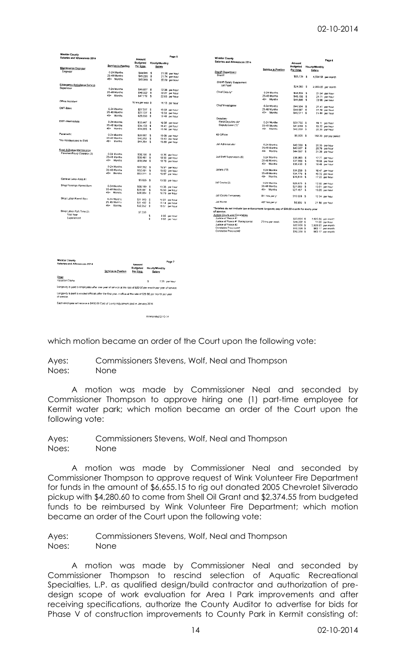| Winkler County               |                    |                   |   |                       |                |                                                                                        |                    |              |                       |                     |
|------------------------------|--------------------|-------------------|---|-----------------------|----------------|----------------------------------------------------------------------------------------|--------------------|--------------|-----------------------|---------------------|
| Salaries and Aflowances 2014 |                    |                   |   |                       | Page 5         | Winkler County                                                                         |                    |              |                       |                     |
|                              |                    | Amount            |   |                       |                | Salaries and Allowances 2014                                                           |                    |              |                       | Page 6              |
|                              |                    | Budgeted          |   | <b>Hourly/Monthly</b> |                |                                                                                        |                    | Amount       |                       |                     |
|                              | Service in Postion | Per Emp.          |   | Salary                |                |                                                                                        |                    | Budgeted     | <b>Hourty/Monthly</b> |                     |
| Maintenance Engineer         |                    |                   |   |                       |                |                                                                                        | Service in Postion | Per Emp      | Salary                |                     |
| Engineer                     | 0-24 Months        | \$44,846 \$       |   |                       | 21.56 per hour | Sheriff Department                                                                     |                    |              |                       |                     |
|                              | 25-48 Months       | \$45,220 S        |   |                       | 21.74 per hour | Sheriff                                                                                |                    | \$55,135 \$  |                       | 4,594 58 per month  |
|                              | 49+ Months         | \$45.948 \$       |   |                       | 22.09 per hour |                                                                                        |                    |              |                       |                     |
|                              |                    |                   |   |                       |                | Sheriff-Salary Supplement                                                              |                    |              |                       |                     |
| Emergency Ambulance Service  |                    |                   |   |                       |                | Jail Food                                                                              |                    |              |                       |                     |
| Supervisor                   | 0-24 Months        |                   |   |                       |                |                                                                                        |                    | \$24,000 \$  |                       | 2,000.00 per month  |
|                              |                    | \$45.927 \$       |   |                       | 22.06 per hour | Chief Deputy*                                                                          |                    |              |                       |                     |
|                              | 25-48 Months       | \$46,322 S        |   |                       | 22.27 per hour |                                                                                        | 0-24 Months        | \$44,804 S   |                       | 21.54 per hour      |
|                              | 49+ Months         | \$47,112 \$       |   |                       | 22.65 per hour |                                                                                        | 25-48 Months       | \$45,158 \$  |                       | 21.71 per hour      |
|                              |                    |                   |   |                       |                |                                                                                        | 49 Months          | \$45,886 \$  |                       | 22.06 per hour      |
| <b>Office Assistant</b>      |                    | 16 hrs per wee \$ |   |                       | 14.13 per hour |                                                                                        |                    |              |                       |                     |
|                              |                    |                   |   |                       |                | Chief Investigator                                                                     | 0-24 Months        | \$44,534 \$  |                       | 21.41 per hour      |
| <b>EMT Basic</b>             | 0-24 Manchs        | \$27 207 \$       |   |                       | 13.08 per hour |                                                                                        | 25-48 Months       | \$44,887 \$  |                       | 21.58 per hour      |
|                              | 25-48 Months       | \$27.727 \$       |   |                       |                |                                                                                        | 49+ Months         | $$45,511$ \$ |                       |                     |
|                              | 49+ Months         | \$28,050 \$       |   |                       | 13.33 per hour |                                                                                        |                    |              |                       | 2188 per hour       |
|                              |                    |                   |   |                       | 13 49 per hour | Deputies-                                                                              |                    |              |                       |                     |
| EMT-Intermediate             |                    |                   |   |                       |                | Field Deputies (4)*                                                                    |                    |              |                       |                     |
|                              | 0-24 Months        | $$33,447$ \$      |   |                       | 16.08 per hour |                                                                                        | 0-24 Months        | \$39750 S    |                       | 19 11 per hour      |
|                              | 25-48 Months       | $$34,133$ \$      |   |                       | 16.41 per hour | Deputy/Jailer (1)*                                                                     | 25-46 Months       | \$41,019 \$  |                       | 19.72 per hour      |
|                              | 49+ Months         | \$34,695 \$       |   |                       | 16.68 per hour |                                                                                        | 49+ Months         | \$42,329 \$  |                       | 20.35 per hour      |
|                              |                    |                   |   |                       |                |                                                                                        |                    |              |                       |                     |
| Paramedic                    | 0-24 Months        | \$39,687 \$       |   |                       | 19.08 per hour | K9 Officier                                                                            |                    | \$5,000 \$   |                       | 192.30 per pay peri |
|                              | 25-48 Months       | \$40,352 \$       |   |                       | 19.40 per hour |                                                                                        |                    |              |                       |                     |
| "No Holidays paid to EMS     | 49+ Months         | \$41,351 \$       |   |                       | 1988 per hour  |                                                                                        |                    |              |                       |                     |
|                              |                    |                   |   |                       |                | Jail Administrator                                                                     | 0-24 Months        | $$42.329$ \$ |                       | 20.35 per hour      |
|                              |                    |                   |   |                       |                |                                                                                        | 25-48 Months       | 543.057 \$   |                       | 20.70 per hour      |
| Road & Bridge-Maintenance    |                    |                   |   |                       |                |                                                                                        | 49+ Months         | \$44 097 \$  |                       | 21.20 per hour      |
| Foreman/Equip Operator (2)   | 0-24 Months        | \$38,190 \$       |   |                       |                |                                                                                        |                    |              |                       |                     |
|                              | 25-48 Months       | \$38,481 \$       |   |                       | 18.36 per hour | Jail Shift Supervisors (6)                                                             | 0-24 Months        | \$36,963 \$  |                       |                     |
|                              | 49+ Months         |                   |   |                       | 18.50 per hour |                                                                                        | 25-48 Months       |              |                       | 17.77 per hour      |
|                              |                    | \$39,084 \$       |   |                       | 1879 per hour  |                                                                                        |                    | \$37.568 \$  |                       | 18 06 per hour      |
|                              |                    |                   |   |                       |                |                                                                                        | 49+ Months         | \$38,439 \$  |                       | 16 48 per hour      |
|                              | 0-24 Months        | \$32.262 \$       |   |                       | 15.51 per hour |                                                                                        |                    |              |                       |                     |
|                              | 25-48 Months       | \$32.491 \$       |   |                       | 15 62 per hour | Jailers (10)                                                                           | 0-24 Months        | \$34.259 S   |                       | 16.47 per hour      |
|                              | 49+ Months         | \$33.D11 S        |   |                       | 15.87 per hour |                                                                                        | 25-48 Months       | 334.779 \$   |                       | 16.72 per hour      |
|                              |                    |                   |   |                       |                |                                                                                        | 49+ Months         | \$35,819 \$  |                       | 17.22 per hour      |
| General Labor-Area #1        |                    | \$5.625 \$        |   |                       | 10.00 per hour |                                                                                        |                    |              |                       |                     |
|                              |                    |                   |   |                       |                | Jail Cooks (3)                                                                         | 0-24 Months        | \$26.675 \$  |                       | 12.92 per hour      |
| Shop Foreman-Kermit Barn     | 0-24 Months        | \$38,189 \$       |   |                       | 18.36 per hour |                                                                                        | 25-48 Months       | \$27,062 \$  |                       | 13 01 per hour      |
|                              | 25-48 Months       | \$38,48.5         |   |                       | 18.50 per hour |                                                                                        | 49+ Months         | \$27457 \$   |                       | 13.20 per hour      |
|                              | 49+ Months         | \$39,084 \$       |   |                       | 18.79 per hour |                                                                                        |                    |              |                       |                     |
|                              |                    |                   |   |                       |                | Jail Cooks-Temporary                                                                   | 811 hrs per yr     | \$10,00B \$  |                       |                     |
| Shop Labor-Kermit Barn       | 0-24 Months        | \$31 313 \$       |   |                       |                |                                                                                        |                    |              |                       | 12 34 per hour      |
|                              |                    |                   |   |                       | 14.91 per hour | Jail Nurse                                                                             |                    |              |                       |                     |
|                              | 25 48 Months       | \$31492 S         |   |                       | 15 14 per hour |                                                                                        | 407 hrs per yr     | \$8,906 \$   |                       | 21.88 per hour      |
|                              | 49+ Months         | \$32,262 \$       |   |                       | 15.51 per hour |                                                                                        |                    |              |                       |                     |
|                              |                    |                   |   |                       |                | *Salaries do not include law enforcoment longevity pay of \$20.00 month for every year |                    |              |                       |                     |
| Shop Labor-Part-Time (2)     |                    | \$7,200           |   |                       |                | of service.                                                                            |                    |              |                       |                     |
| First Year                   |                    |                   | s |                       | 8.00 per hour  | Justice Courts and Constables                                                          |                    |              |                       |                     |
| Experienced                  |                    |                   | s |                       | 9.00 per hour  | Justice of Peace #1                                                                    |                    | \$33,900 \$  | 2.825.00 per month    |                     |
|                              |                    |                   |   |                       |                | Justice of Peace #1 Receptionist                                                       | 25 hrs per week    | \$14,300 \$  |                       | 11.00 per hour      |
|                              |                    |                   |   |                       |                | Justice of Peace #2                                                                    |                    | \$33,900 \$  | 2.825.00 per month    |                     |
|                              |                    |                   |   |                       |                | Constable Precinct #1                                                                  |                    | \$10.358 \$  |                       | 863 17 per month    |
|                              |                    |                   |   |                       |                | Constable Precinct #2                                                                  |                    | \$10.358 \$  |                       | 863 17 per month    |
|                              |                    |                   |   |                       |                |                                                                                        |                    |              |                       |                     |
|                              |                    |                   |   |                       |                |                                                                                        |                    |              |                       |                     |
|                              |                    |                   |   |                       |                |                                                                                        |                    |              |                       |                     |
| Winkler County               |                    |                   |   |                       | Page 7         |                                                                                        |                    |              |                       |                     |
| Salaries and Allowances 2014 |                    | Amount            |   |                       |                |                                                                                        |                    |              |                       |                     |
|                              |                    | Budgeted          |   | Hourly/Monthly        |                |                                                                                        |                    |              |                       |                     |
|                              | Service in Postion | Per Emp.          |   | Salary                |                |                                                                                        |                    |              |                       |                     |

Other<br>Vacation Clerks  $$725 per hour$ Longewiy is paid to employees after one year of service at the rate of \$20.00 per month per year of service Longewly is paid to elected officials after the first year in office at the rate of \$20.00 per month por year

Each employee will receive a \$400.00 Cost of Living Adjustment paid in January 2014

Ammended 2-10-14

which motion became an order of the Court upon the following vote:

Ayes: Commissioners Stevens, Wolf, Neal and Thompson Noes: None

A motion was made by Commissioner Neal and seconded by Commissioner Thompson to approve hiring one (1) part-time employee for Kermit water park; which motion became an order of the Court upon the following vote:

Ayes: Commissioners Stevens, Wolf, Neal and Thompson Noes: None

A motion was made by Commissioner Neal and seconded by Commissioner Thompson to approve request of Wink Volunteer Fire Department for funds in the amount of \$6,655.15 to rig out donated 2005 Chevrolet Silverado pickup with \$4,280.60 to come from Shell Oil Grant and \$2,374.55 from budgeted funds to be reimbursed by Wink Volunteer Fire Department; which motion became an order of the Court upon the following vote:

Ayes: Commissioners Stevens, Wolf, Neal and Thompson Noes: None

A motion was made by Commissioner Neal and seconded by Commissioner Thompson to rescind selection of Aquatic Recreational Specialties, L.P. as qualified design/build contractor and authorization of predesign scope of work evaluation for Area I Park improvements and after receiving specifications, authorize the County Auditor to advertise for bids for Phase V of construction improvements to County Park in Kermit consisting of: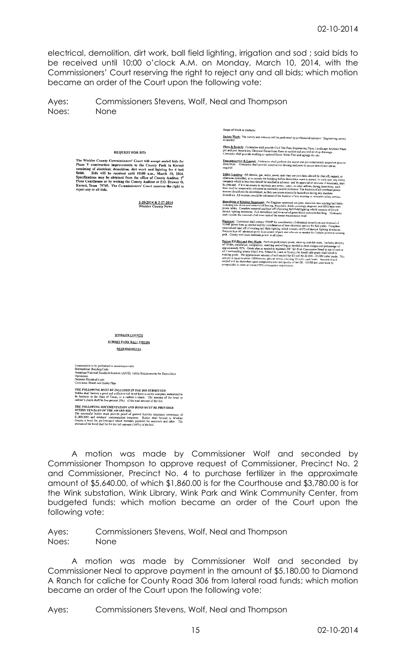electrical, demolition, dirt work, ball field lighting, irrigation and sod ; said bids to be received until 10:00 o'clock A.M. on Monday, March 10, 2014, with the Commissioners' Court reserving the right to reject any and all bids; which motion became an order of the Court upon the following vote:

Ayes: Commissioners Stevens, Wolf, Neal and Thompson Noes: None

**REQUEST FOR BID** 

The Winkler County Commissioners' Court will accept sealed bids for<br>Phase V construction improvements to the County Park in Kermit<br>constsing of electrical, demolition, dirt work and lighting for 4 ball<br>fields. Bids will b

2-20-2014 & 2-27-2014<br>Winkler County News

.<br>Scope of Work to Include:

Survey Work: Site survey and stakeout will be performed by professional surveyor. Engineering su

Plans & Permits: Contractor shall provide Civil Site Plan, Engineering Plans, Landscape Archivest Plans<br>pre and post demolition, Electrical Demolition Plans as needed and any and all shop dravings.<br>Contractor shall provide

Preconstruction & Lavout: Contractor shall perform site layout and pre-construction inspection prior to demolition. Contractor shall provide construction factors demolition.

**L'ellity** Location: Millettric, pas, water, sever, and other services lines should be shut off, eapped, or<br>otherwise controlled, at or outside the building before derivation work is started. In each case, any util<br>correla

**Demultion of Existing Structures:** Per Engineer approved site plan, demulish two estisting ball fields including team of the moval energy of planetic production of the production of the prior of the prior of the prior of

**Electrical:** Contractor shall contact TNMP for coordination of electrical demokration and removal of TNMP power lines as needed and for coordination of metallical complete removal and hast off excellent and the coordinat

power county wen must intention prover at all times.<br> **Delivery** Fill Dirt, **Youthout Schware and Constant Constant Constant Constant Constant Of the Constant of the Off Udst, installation, compaction, watering and rollin** 

**WINKLER COUNTY KERMIT PARK BALL FIELDS REQUIREMENTS** 

Construction to be performed in accordance with:<br>International Building Code<br>American National Standards Institute (ANSI): Natery Requirements for Demolition<br>Operations<br>National Electrical Code itions<br>nal Electrical Code<br>actor Health and Safety Plan THE FOLLOWING MOST BE INCLUDED IN THE BID SUBMITTED:<br>Bidder shall furnish a good and sufficient bid bond from a surely company authorized to<br>bidder shall furnish a good and sufficient bid bond from a surely company authori

**THE FOLLOWING DOCUMENTATION AND BOND MUST BE PROVIDED**<br>WITHIN TEN DATS OF THE AWARD BOND MUST BE PROVIDED.<br>The successful bidder must provide proof of general luability insurance (minimum of<br>11,000,000) and workers' comp

A motion was made by Commissioner Wolf and seconded by Commissioner Thompson to approve request of Commissioner, Precinct No. 2 and Commissioner, Precinct No. 4 to purchase fertilizer in the approximate amount of \$5,640.00, of which \$1,860.00 is for the Courthouse and \$3,780.00 is for the Wink substation, Wink Library, Wink Park and Wink Community Center, from budgeted funds; which motion became an order of the Court upon the following vote:

Ayes: Commissioners Stevens, Wolf, Neal and Thompson Noes: None

A motion was made by Commissioner Wolf and seconded by Commissioner Neal to approve payment in the amount of \$5,180.00 to Diamond A Ranch for caliche for County Road 306 from lateral road funds; which motion became an order of the Court upon the following vote:

Ayes: Commissioners Stevens, Wolf, Neal and Thompson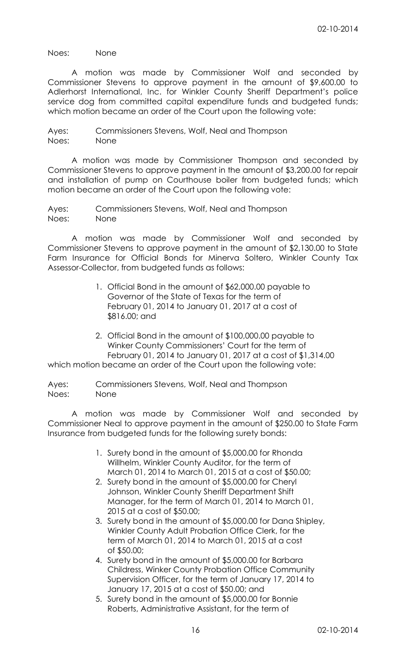Noes: None

A motion was made by Commissioner Wolf and seconded by Commissioner Stevens to approve payment in the amount of \$9,600.00 to Adlerhorst International, Inc. for Winkler County Sheriff Department's police service dog from committed capital expenditure funds and budgeted funds; which motion became an order of the Court upon the following vote:

Ayes: Commissioners Stevens, Wolf, Neal and Thompson Noes: None

A motion was made by Commissioner Thompson and seconded by Commissioner Stevens to approve payment in the amount of \$3,200.00 for repair and installation of pump on Courthouse boiler from budgeted funds; which motion became an order of the Court upon the following vote:

Ayes: Commissioners Stevens, Wolf, Neal and Thompson Noes: None

A motion was made by Commissioner Wolf and seconded by Commissioner Stevens to approve payment in the amount of \$2,130.00 to State Farm Insurance for Official Bonds for Minerva Soltero, Winkler County Tax Assessor-Collector, from budgeted funds as follows:

- 1. Official Bond in the amount of \$62,000.00 payable to Governor of the State of Texas for the term of February 01, 2014 to January 01, 2017 at a cost of \$816.00; and
- 2. Official Bond in the amount of \$100,000.00 payable to Winker County Commissioners' Court for the term of February 01, 2014 to January 01, 2017 at a cost of \$1,314.00

which motion became an order of the Court upon the following vote:

Ayes: Commissioners Stevens, Wolf, Neal and Thompson Noes: None

A motion was made by Commissioner Wolf and seconded by Commissioner Neal to approve payment in the amount of \$250.00 to State Farm Insurance from budgeted funds for the following surety bonds:

- 1. Surety bond in the amount of \$5,000.00 for Rhonda Willhelm, Winkler County Auditor, for the term of March 01, 2014 to March 01, 2015 at a cost of \$50.00;
- 2. Surety bond in the amount of \$5,000.00 for Cheryl Johnson, Winkler County Sheriff Department Shift Manager, for the term of March 01, 2014 to March 01, 2015 at a cost of \$50.00;
- 3. Surety bond in the amount of \$5,000.00 for Dana Shipley, Winkler County Adult Probation Office Clerk, for the term of March 01, 2014 to March 01, 2015 at a cost of \$50.00;
- 4. Surety bond in the amount of \$5,000.00 for Barbara Childress, Winker County Probation Office Community Supervision Officer, for the term of January 17, 2014 to January 17, 2015 at a cost of \$50.00; and
- 5. Surety bond in the amount of \$5,000.00 for Bonnie Roberts, Administrative Assistant, for the term of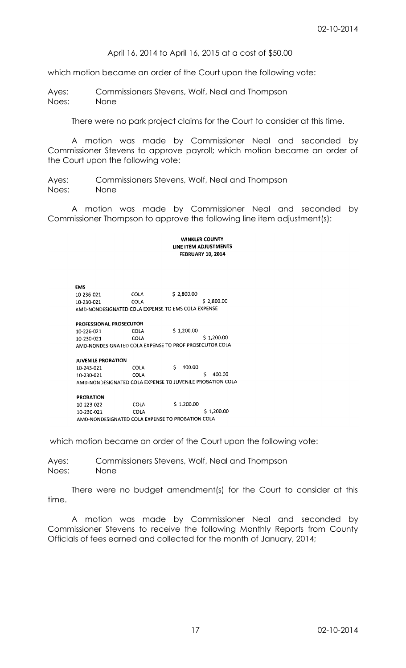April 16, 2014 to April 16, 2015 at a cost of \$50.00

which motion became an order of the Court upon the following vote:

Ayes: Commissioners Stevens, Wolf, Neal and Thompson Noes: None

There were no park project claims for the Court to consider at this time.

A motion was made by Commissioner Neal and seconded by Commissioner Stevens to approve payroll; which motion became an order of the Court upon the following vote:

Ayes: Commissioners Stevens, Wolf, Neal and Thompson Noes: None

A motion was made by Commissioner Neal and seconded by Commissioner Thompson to approve the following line item adjustment(s):

> **WINKLER COUNTY** LINE ITEM ADJUSTMENTS **FEBRUARY 10, 2014**

**EMS** 10-236-021 COLA  $$2,800.00$ COLA  $$2,800.00$ 10-230-021 AMD-NONDESIGNATED COLA EXPENSE TO EMS COLA EXPENSE

PROFESSIONAL PROSECUTOR  $$1,200.00$ 10-226-021 **COLA**  $$1,200.00$ 10-230-021 COLA AMD-NONDESIGNATED COLA EXPENSE TO PROF PROSECUTOR COLA

**JUVENILE PROBATION**  $$400.00$ COLA 10-243-021  $$400.00$ 10-230-021 COLA AMD-NONDESIGNATED COLA EXPENSE TO JUVENILE PROBATION COLA

**PROBATION** 

COLA  $$1,200.00$ 10-223-022  $$1,200,00$ 10-230-021 COLA AMD-NONDESIGNATED COLA EXPENSE TO PROBATION COLA

which motion became an order of the Court upon the following vote:

Ayes: Commissioners Stevens, Wolf, Neal and Thompson Noes: None

There were no budget amendment(s) for the Court to consider at this time.

A motion was made by Commissioner Neal and seconded by Commissioner Stevens to receive the following Monthly Reports from County Officials of fees earned and collected for the month of January, 2014;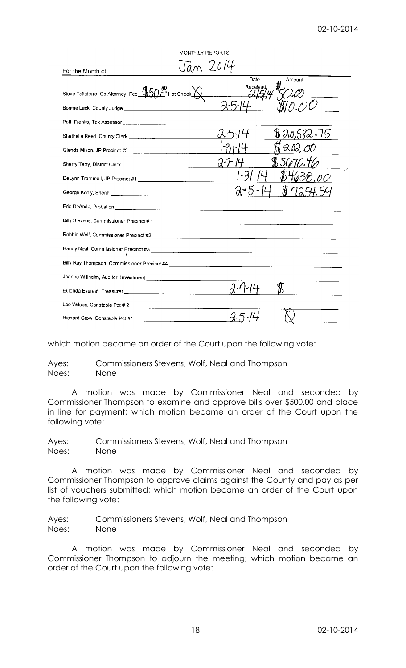|                                                      | MONTHLY REPORTS                  |
|------------------------------------------------------|----------------------------------|
| For the Month of                                     | $\sqrt{a}$ 2014                  |
| Steve Taliaferro, Co Attorney Fee \$50. PHot Check X | Date<br>Amount<br>Received,      |
|                                                      |                                  |
|                                                      |                                  |
|                                                      | 2.5.14<br><b>&amp; 20,582.75</b> |
| Glenda Mixon, JP Precinct #2                         |                                  |
|                                                      | 2714                             |
|                                                      | 1-31-14<br>36.00                 |
|                                                      |                                  |
|                                                      |                                  |
|                                                      |                                  |
|                                                      |                                  |
|                                                      |                                  |
|                                                      |                                  |
|                                                      |                                  |
|                                                      |                                  |
|                                                      |                                  |
|                                                      |                                  |

which motion became an order of the Court upon the following vote:

Ayes: Commissioners Stevens, Wolf, Neal and Thompson Noes: None

A motion was made by Commissioner Neal and seconded by Commissioner Thompson to examine and approve bills over \$500.00 and place in line for payment; which motion became an order of the Court upon the following vote:

Ayes: Commissioners Stevens, Wolf, Neal and Thompson Noes: None

A motion was made by Commissioner Neal and seconded by Commissioner Thompson to approve claims against the County and pay as per list of vouchers submitted; which motion became an order of the Court upon the following vote:

Ayes: Commissioners Stevens, Wolf, Neal and Thompson Noes: None

A motion was made by Commissioner Neal and seconded by Commissioner Thompson to adjourn the meeting; which motion became an order of the Court upon the following vote: